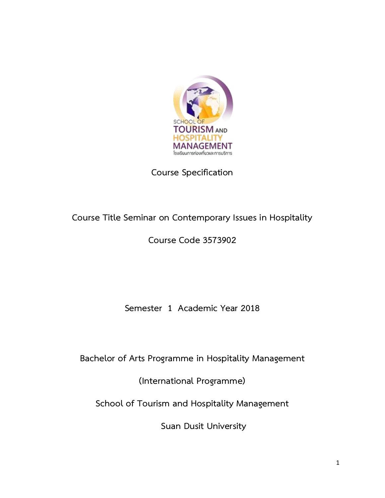

# **Course Specification**

# **Course Title Seminar on Contemporary Issues in Hospitality**

**Course Code 3573902**

**Semester 1 Academic Year 2018**

**Bachelor of Arts Programme in Hospitality Management**

**(International Programme)**

**School of Tourism and Hospitality Management**

**Suan Dusit University**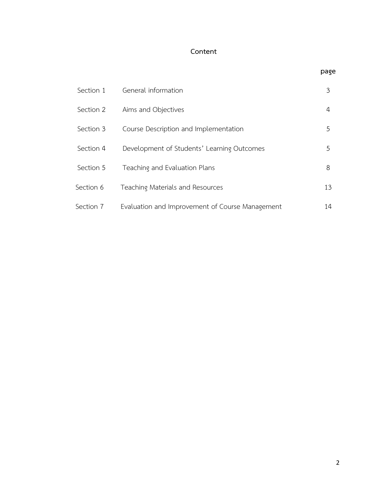# **Content**

| Section 1 | General information                             | 3  |
|-----------|-------------------------------------------------|----|
| Section 2 | Aims and Objectives                             | 4  |
| Section 3 | Course Description and Implementation           | .5 |
| Section 4 | Development of Students' Learning Outcomes      | 5. |
| Section 5 | Teaching and Evaluation Plans                   | 8  |
| Section 6 | Teaching Materials and Resources                | 13 |
| Section 7 | Evaluation and Improvement of Course Management | 14 |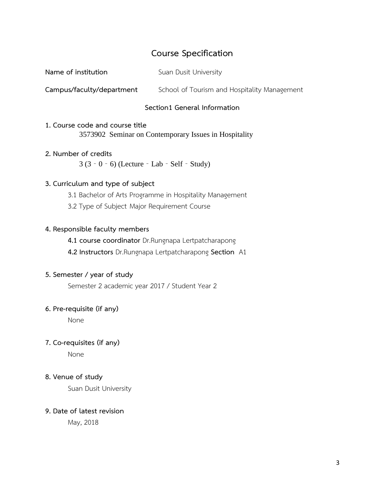# **Course Specification**

| Name of institution | Suan Dusit University |
|---------------------|-----------------------|
|                     |                       |

**Campus/faculty/department** School of Tourism and Hospitality Management

#### **Section1 General Information**

# **1. Course code and course title** 3573902 Seminar on Contemporary Issues in Hospitality

#### **2. Number of credits**

3 (3‐0‐6) (Lecture‐Lab‐Self‐Study)

#### **3. Curriculum and type of subject**

- 3.1 Bachelor of Arts Programme in Hospitality Management
- 3.2 Type of Subject Major Requirement Course

#### **4. Responsible faculty members**

- **4.1 course coordinator** Dr.Rungnapa Lertpatcharapong
- **4.2 Instructors** Dr.Rungnapa Lertpatcharapong **Section** A1

#### **5. Semester / year of study**

Semester 2 academic year 2017 / Student Year 2

#### **6. Pre-requisite (if any)**

None

### **7. Co-requisites (if any)**

None

#### **8. Venue of study**

Suan Dusit University

#### **9. Date of latest revision**

May, 2018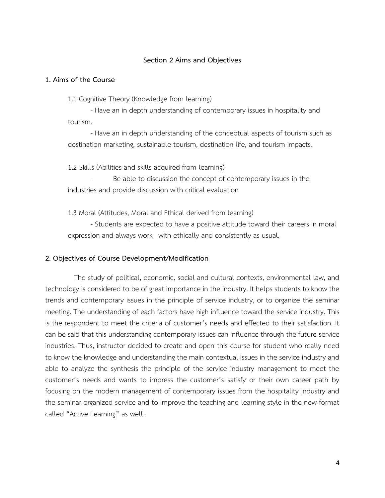#### **Section 2 Aims and Objectives**

#### **1. Aims of the Course**

1.1 Cognitive Theory (Knowledge from learning)

- Have an in depth understanding of contemporary issues in hospitality and tourism.

- Have an in depth understanding of the conceptual aspects of tourism such as destination marketing, sustainable tourism, destination life, and tourism impacts.

1.2 Skills (Abilities and skills acquired from learning)

Be able to discussion the concept of contemporary issues in the industries and provide discussion with critical evaluation

1.3 Moral (Attitudes, Moral and Ethical derived from learning)

- Students are expected to have a positive attitude toward their careers in moral expression and always work with ethically and consistently as usual.

#### **2. Objectives of Course Development/Modification**

The study of political, economic, social and cultural contexts, environmental law, and technology is considered to be of great importance in the industry. It helps students to know the trends and contemporary issues in the principle of service industry, or to organize the seminar meeting. The understanding of each factors have high influence toward the service industry. This is the respondent to meet the criteria of customer's needs and effected to their satisfaction. It can be said that this understanding contemporary issues can influence through the future service industries. Thus, instructor decided to create and open this course for student who really need to know the knowledge and understanding the main contextual issues in the service industry and able to analyze the synthesis the principle of the service industry management to meet the customer's needs and wants to impress the customer's satisfy or their own career path by focusing on the modern management of contemporary issues from the hospitality industry and the seminar organized service and to improve the teaching and learning style in the new format called "Active Learning" as well.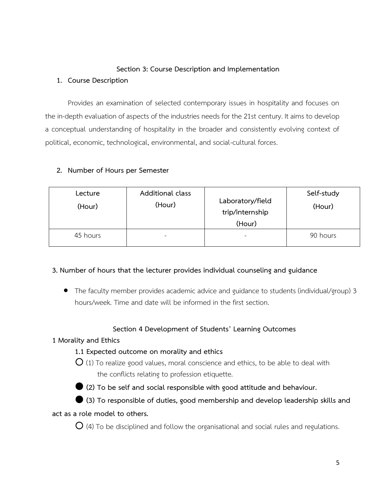## **Section 3: Course Description and Implementation**

### **1. Course Description**

Provides an examination of selected contemporary issues in hospitality and focuses on the in-depth evaluation of aspects of the industries needs for the 21st century. It aims to develop a conceptual understanding of hospitality in the broader and consistently evolving context of political, economic, technological, environmental, and social-cultural forces.

### **2. Number of Hours per Semester**

| Lecture<br>(Hour) | Additional class<br>(Hour) | Laboratory/field<br>trip/internship<br>(Hour) | Self-study<br>(Hour) |
|-------------------|----------------------------|-----------------------------------------------|----------------------|
| 45 hours          | -                          | $\sim$                                        | 90 hours             |

### **3. Number of hours that the lecturer provides individual counseling and guidance**

 The faculty member provides academic advice and guidance to students (individual/group) 3 hours/week. Time and date will be informed in the first section.

### **Section 4 Development of Students' Learning Outcomes**

### **1 Morality and Ethics**

# **1.1 Expected outcome on morality and ethics**

 $O$  (1) To realize good values, moral conscience and ethics, to be able to deal with the conflicts relating to profession etiquette.



**(2) To be self and social responsible with good attitude and behaviour.**

 **(3) To responsible of duties, good membership and develop leadership skills and act as a role model to others.**

**O** (4) To be disciplined and follow the organisational and social rules and regulations.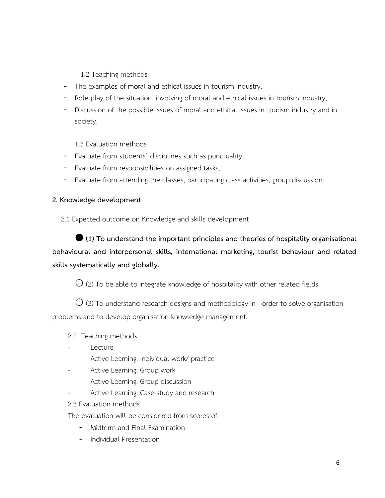# 1.2 Teaching methods

- The examples of moral and ethical issues in tourism industry,
- Role play of the situation, involving of moral and ethical issues in tourism industry,
- Discussion of the possible issues of moral and ethical issues in tourism industry and in society.

1.3 Evaluation methods

- Evaluate from students' disciplines such as punctuality,
- Evaluate from responsibilities on assigned tasks,
- Evaluate from attending the classes, participating class activities, group discussion.

### **2. Knowledge development**

2.1 Expected outcome on Knowledge and skills development

 **(1) To understand the important principles and theories of hospitality organisational behavioural and interpersonal skills, international marketing, tourist behaviour and related skills systematically and globally.**

 $\bigcirc$  (2) To be able to integrate knowledge of hospitality with other related fields.

 $\overline{O}$  (3) To understand research designs and methodology in order to solve organisation problems and to develop organisation knowledge management.

### 2.2 Teaching methods

- **Lecture**
- Active Learning: Individual work/ practice
- Active Learning: Group work
- Active Learning: Group discussion
- Active Learning: Case study and research
- 2.3 Evaluation methods

The evaluation will be considered from scores of:

- Midterm and Final Examination
- Individual Presentation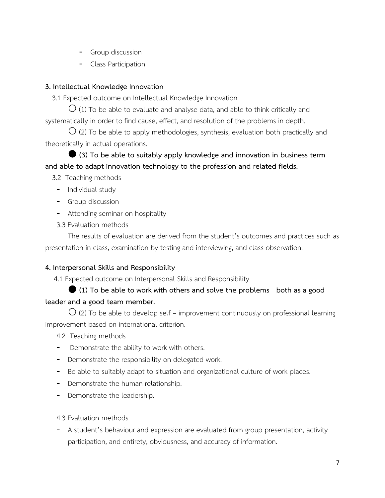- Group discussion
- Class Participation

### **3. Intellectual Knowledge Innovation**

3.1 Expected outcome on Intellectual Knowledge Innovation

 $\bigcirc$  (1) To be able to evaluate and analyse data, and able to think critically and systematically in order to find cause, effect, and resolution of the problems in depth.

 $\bigcirc$  (2) To be able to apply methodologies, synthesis, evaluation both practically and theoretically in actual operations.

 **(3) To be able to suitably apply knowledge and innovation in business term and able to adapt innovation technology to the profession and related fields.**

3.2 Teaching methods

- Individual study
- Group discussion
- Attending seminar on hospitality
- 3.3 Evaluation methods

The results of evaluation are derived from the student's outcomes and practices such as presentation in class, examination by testing and interviewing, and class observation.

### **4. Interpersonal Skills and Responsibility**

4.1 Expected outcome on Interpersonal Skills and Responsibility

# **(1) To be able to work with others and solve the problems both as a good leader and a good team member.**

 $\overline{O}$  (2) To be able to develop self – improvement continuously on professional learning improvement based on international criterion.

- 4.2 Teaching methods
- Demonstrate the ability to work with others.
- Demonstrate the responsibility on delegated work.
- Be able to suitably adapt to situation and organizational culture of work places.
- Demonstrate the human relationship.
- Demonstrate the leadership.
- 4.3 Evaluation methods
- A student's behaviour and expression are evaluated from group presentation, activity participation, and entirety, obviousness, and accuracy of information.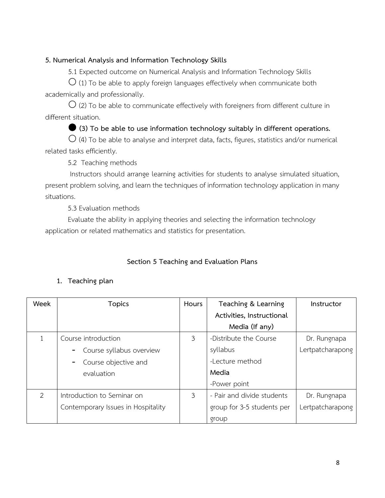## **5. Numerical Analysis and Information Technology Skills**

5.1 Expected outcome on Numerical Analysis and Information Technology Skills

 $\bigcirc$  (1) To be able to apply foreign languages effectively when communicate both academically and professionally.

 $\overline{O}$  (2) To be able to communicate effectively with foreigners from different culture in different situation.

## **(3) To be able to use information technology suitably in different operations.**

 $O$  (4) To be able to analyse and interpret data, facts, figures, statistics and/or numerical related tasks efficiently.

5.2 Teaching methods

Instructors should arrange learning activities for students to analyse simulated situation, present problem solving, and learn the techniques of information technology application in many situations.

5.3 Evaluation methods

Evaluate the ability in applying theories and selecting the information technology application or related mathematics and statistics for presentation.

# **Section 5 Teaching and Evaluation Plans**

# **1. Teaching plan**

| Week          | <b>Topics</b>                      | Hours | Teaching & Learning        | Instructor       |
|---------------|------------------------------------|-------|----------------------------|------------------|
|               |                                    |       | Activities, Instructional  |                  |
|               |                                    |       | Media (If any)             |                  |
|               | Course introduction                | 3     | -Distribute the Course     | Dr. Rungnapa     |
|               | Course syllabus overview           |       | syllabus                   | Lertpatcharapong |
|               | Course objective and               |       | -Lecture method            |                  |
|               | evaluation                         |       | Media                      |                  |
|               |                                    |       | -Power point               |                  |
| $\mathcal{P}$ | Introduction to Seminar on         | 3     | - Pair and divide students | Dr. Rungnapa     |
|               | Contemporary Issues in Hospitality |       | group for 3-5 students per | Lertpatcharapong |
|               |                                    |       | group                      |                  |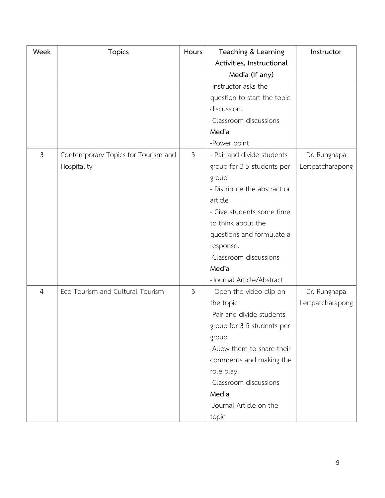| Week           | <b>Topics</b>                       | Hours          | Teaching & Learning          | Instructor       |
|----------------|-------------------------------------|----------------|------------------------------|------------------|
|                |                                     |                | Activities, Instructional    |                  |
|                |                                     |                | Media (If any)               |                  |
|                |                                     |                | -Instructor asks the         |                  |
|                |                                     |                | question to start the topic  |                  |
|                |                                     |                | discussion.                  |                  |
|                |                                     |                | -Classroom discussions       |                  |
|                |                                     |                | Media                        |                  |
|                |                                     |                | -Power point                 |                  |
| $\mathfrak{Z}$ | Contemporary Topics for Tourism and | $\mathfrak{Z}$ | - Pair and divide students   | Dr. Rungnapa     |
|                | Hospitality                         |                | group for 3-5 students per   | Lertpatcharapong |
|                |                                     |                | group                        |                  |
|                |                                     |                | - Distribute the abstract or |                  |
|                |                                     |                | article                      |                  |
|                |                                     |                | - Give students some time    |                  |
|                |                                     |                | to think about the           |                  |
|                |                                     |                | questions and formulate a    |                  |
|                |                                     |                | response.                    |                  |
|                |                                     |                | -Classroom discussions       |                  |
|                |                                     |                | Media                        |                  |
|                |                                     |                | -Journal Article/Abstract    |                  |
| $\overline{4}$ | Eco-Tourism and Cultural Tourism    | $\mathfrak{Z}$ | - Open the video clip on     | Dr. Rungnapa     |
|                |                                     |                | the topic                    | Lertpatcharapong |
|                |                                     |                | -Pair and divide students    |                  |
|                |                                     |                | group for 3-5 students per   |                  |
|                |                                     |                | group                        |                  |
|                |                                     |                | -Allow them to share their   |                  |
|                |                                     |                | comments and making the      |                  |
|                |                                     |                | role play.                   |                  |
|                |                                     |                | -Classroom discussions       |                  |
|                |                                     |                | Media                        |                  |
|                |                                     |                | -Journal Article on the      |                  |
|                |                                     |                | topic                        |                  |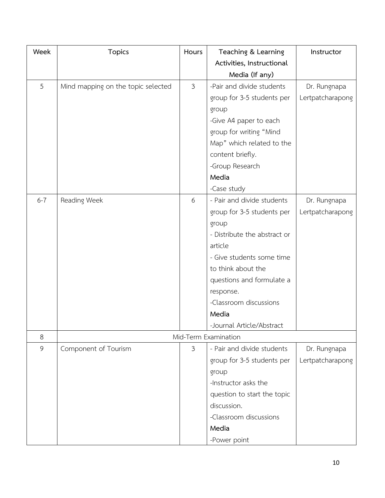| Week    | <b>Topics</b>                      | Hours          | Teaching & Learning          | Instructor       |
|---------|------------------------------------|----------------|------------------------------|------------------|
|         |                                    |                | Activities, Instructional    |                  |
|         |                                    |                | Media (If any)               |                  |
| 5       | Mind mapping on the topic selected | $\mathfrak{Z}$ | -Pair and divide students    | Dr. Rungnapa     |
|         |                                    |                | group for 3-5 students per   | Lertpatcharapong |
|         |                                    |                | group                        |                  |
|         |                                    |                | -Give A4 paper to each       |                  |
|         |                                    |                | group for writing "Mind      |                  |
|         |                                    |                | Map" which related to the    |                  |
|         |                                    |                | content briefly.             |                  |
|         |                                    |                | -Group Research              |                  |
|         |                                    |                | Media                        |                  |
|         |                                    |                | -Case study                  |                  |
| $6 - 7$ | Reading Week                       | 6              | - Pair and divide students   | Dr. Rungnapa     |
|         |                                    |                | group for 3-5 students per   | Lertpatcharapong |
|         |                                    |                | group                        |                  |
|         |                                    |                | - Distribute the abstract or |                  |
|         |                                    |                | article                      |                  |
|         |                                    |                | - Give students some time    |                  |
|         |                                    |                | to think about the           |                  |
|         |                                    |                | questions and formulate a    |                  |
|         |                                    |                | response.                    |                  |
|         |                                    |                | -Classroom discussions       |                  |
|         |                                    |                | Media                        |                  |
|         |                                    |                | -Journal Article/Abstract    |                  |
| 8       |                                    |                | Mid-Term Examination         |                  |
| 9       | Component of Tourism               | $\mathfrak{Z}$ | - Pair and divide students   | Dr. Rungnapa     |
|         |                                    |                | group for 3-5 students per   | Lertpatcharapong |
|         |                                    |                | group                        |                  |
|         |                                    |                | -Instructor asks the         |                  |
|         |                                    |                | question to start the topic  |                  |
|         |                                    |                | discussion.                  |                  |
|         |                                    |                | -Classroom discussions       |                  |
|         |                                    |                | Media                        |                  |
|         |                                    |                | -Power point                 |                  |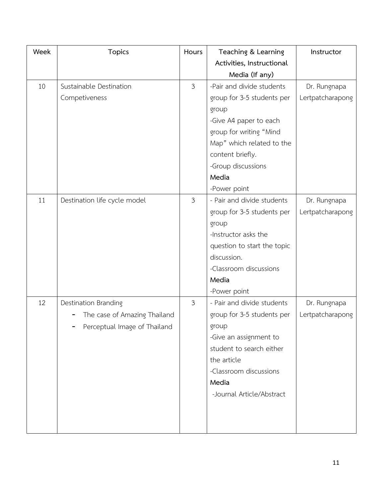| Week | <b>Topics</b>                | Hours          | Teaching & Learning         | Instructor       |
|------|------------------------------|----------------|-----------------------------|------------------|
|      |                              |                | Activities, Instructional   |                  |
|      |                              |                | Media (If any)              |                  |
| 10   | Sustainable Destination      | $\mathfrak{Z}$ | -Pair and divide students   | Dr. Rungnapa     |
|      | Competiveness                |                | group for 3-5 students per  | Lertpatcharapong |
|      |                              |                | group                       |                  |
|      |                              |                | -Give A4 paper to each      |                  |
|      |                              |                | group for writing "Mind     |                  |
|      |                              |                | Map" which related to the   |                  |
|      |                              |                | content briefly.            |                  |
|      |                              |                | -Group discussions          |                  |
|      |                              |                | Media                       |                  |
|      |                              |                | -Power point                |                  |
| 11   | Destination life cycle model | $\mathfrak{Z}$ | - Pair and divide students  | Dr. Rungnapa     |
|      |                              |                | group for 3-5 students per  | Lertpatcharapong |
|      |                              |                | group                       |                  |
|      |                              |                | -Instructor asks the        |                  |
|      |                              |                | question to start the topic |                  |
|      |                              |                | discussion.                 |                  |
|      |                              |                | -Classroom discussions      |                  |
|      |                              |                | Media                       |                  |
|      |                              |                | -Power point                |                  |
| 12   | Destination Branding         | 3              | - Pair and divide students  | Dr. Rungnapa     |
|      | The case of Amazing Thailand |                | group for 3-5 students per  | Lertpatcharapong |
|      | Perceptual Image of Thailand |                | group                       |                  |
|      |                              |                | -Give an assignment to      |                  |
|      |                              |                | student to search either    |                  |
|      |                              |                | the article                 |                  |
|      |                              |                | -Classroom discussions      |                  |
|      |                              |                | Media                       |                  |
|      |                              |                | -Journal Article/Abstract   |                  |
|      |                              |                |                             |                  |
|      |                              |                |                             |                  |
|      |                              |                |                             |                  |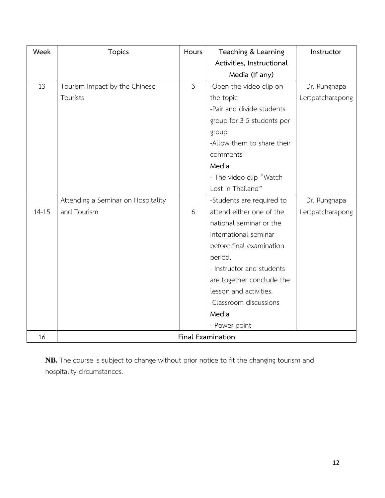| Week      | <b>Topics</b>                      | Hours          | Teaching & Learning        | Instructor       |
|-----------|------------------------------------|----------------|----------------------------|------------------|
|           |                                    |                | Activities, Instructional  |                  |
|           |                                    |                | Media (If any)             |                  |
| 13        | Tourism Impact by the Chinese      | $\mathfrak{Z}$ | -Open the video clip on    | Dr. Rungnapa     |
|           | Tourists                           |                | the topic                  | Lertpatcharapong |
|           |                                    |                | -Pair and divide students  |                  |
|           |                                    |                | group for 3-5 students per |                  |
|           |                                    |                | group                      |                  |
|           |                                    |                | -Allow them to share their |                  |
|           |                                    |                | comments                   |                  |
|           |                                    |                | Media                      |                  |
|           |                                    |                | - The video clip "Watch    |                  |
|           |                                    |                | Lost in Thailand"          |                  |
|           | Attending a Seminar on Hospitality |                | -Students are required to  | Dr. Rungnapa     |
| $14 - 15$ | and Tourism                        | 6              | attend either one of the   | Lertpatcharapong |
|           |                                    |                | national seminar or the    |                  |
|           |                                    |                | international seminar      |                  |
|           |                                    |                | before final examination   |                  |
|           |                                    |                | period.                    |                  |
|           |                                    |                | - Instructor and students  |                  |
|           |                                    |                | are together conclude the  |                  |
|           |                                    |                | lesson and activities.     |                  |
|           |                                    |                | -Classroom discussions     |                  |
|           |                                    |                | Media                      |                  |
|           |                                    |                | - Power point              |                  |
| 16        |                                    |                | Final Examination          |                  |

**NB.**The course is subject to change without prior notice to fit the changing tourism and hospitality circumstances.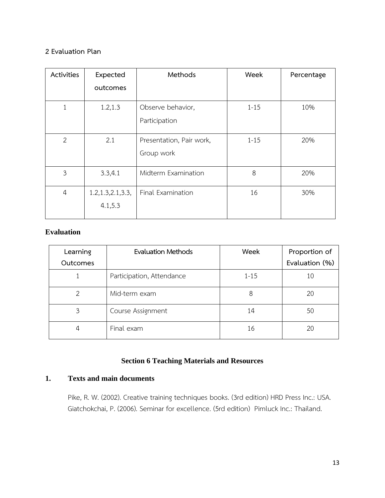#### **2 Evaluation Plan**

| Activities     | Expected                       | Methods                                | Week     | Percentage |
|----------------|--------------------------------|----------------------------------------|----------|------------|
|                | outcomes                       |                                        |          |            |
| 1              | 1.2, 1.3                       | Observe behavior,<br>Participation     | $1 - 15$ | 10%        |
| $\overline{2}$ | 2.1                            | Presentation, Pair work,<br>Group work | $1 - 15$ | 20%        |
| $\overline{3}$ | 3.3,4.1                        | Midterm Examination                    | 8        | 20%        |
| $\overline{4}$ | 1.2, 1.3, 2.1, 3.3,<br>4.1,5.3 | Final Examination                      | 16       | 30%        |

### **Evaluation**

| Learning<br><b>Outcomes</b> | <b>Evaluation Methods</b> | Week     | Proportion of<br>Evaluation (%) |
|-----------------------------|---------------------------|----------|---------------------------------|
|                             | Participation, Attendance | $1 - 15$ | 10                              |
| 2                           | Mid-term exam             | 8        | 20                              |
| 3                           | Course Assignment         | 14       | 50                              |
| 4                           | Final exam                | 16       | 20                              |

# **Section 6 Teaching Materials and Resources**

# **1. Texts and main documents**

Pike, R. W. (2002). Creative training techniques books. (3rd edition) HRD Press Inc.: USA. Giatchokchai, P. (2006). Seminar for excellence. (5rd edition) Pimluck Inc.: Thailand.